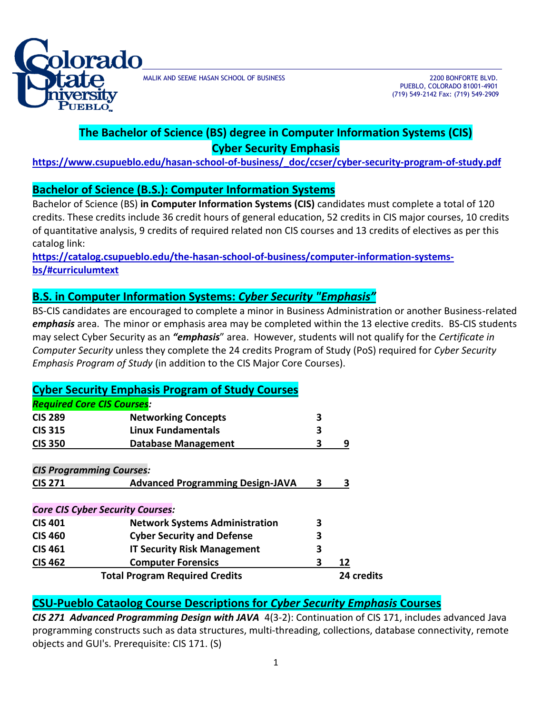

MALIK AND SEEME HASAN SCHOOL OF BUSINESS 2200 BONFORTE BLVD.

 PUEBLO, COLORADO 81001-4901 (719) 549-2142 Fax: (719) 549-2909

# **The Bachelor of Science (BS) degree in Computer Information Systems (CIS) Cyber Security Emphasis**

**https://www.csupueblo.edu/hasan-school-of-business/\_doc/ccser/cyber-security-program-of-study.pdf**

#### **Bachelor of Science (B.S.): Computer Information Systems**

Bachelor of Science (BS) **in Computer Information Systems (CIS)** candidates must complete a total of 120 credits. These credits include 36 credit hours of general education, 52 credits in CIS major courses, 10 credits of quantitative analysis, 9 credits of required related non CIS courses and 13 credits of electives as per this catalog link:

**[https://catalog.csupueblo.edu/the-hasan-school-of-business/computer-information-systems](https://catalog.csupueblo.edu/the-hasan-school-of-business/computer-information-systems-bs/#curriculumtext)[bs/#curriculumtext](https://catalog.csupueblo.edu/the-hasan-school-of-business/computer-information-systems-bs/#curriculumtext)**

### **B.S. in Computer Information Systems:** *Cyber Security "Emphasis"*

BS-CIS candidates are encouraged to complete a minor in Business Administration or another Business-related *emphasis* area. The minor or emphasis area may be completed within the 13 elective credits. BS-CIS students may select Cyber Security as an *"emphasis*" area. However, students will not qualify for the *Certificate in Computer Security* unless they complete the 24 credits Program of Study (PoS) required for *Cyber Security Emphasis Program of Study* (in addition to the CIS Major Core Courses).

| <b>Cyber Security Emphasis Program of Study Courses</b> |                                         |   |            |
|---------------------------------------------------------|-----------------------------------------|---|------------|
| <b>Required Core CIS Courses:</b>                       |                                         |   |            |
| <b>CIS 289</b>                                          | <b>Networking Concepts</b>              | З |            |
| <b>CIS 315</b>                                          | Linux Fundamentals                      | 3 |            |
| <b>CIS 350</b>                                          | <b>Database Management</b>              | 3 | 9          |
|                                                         |                                         |   |            |
| <b>CIS Programming Courses:</b>                         |                                         |   |            |
| <b>CIS 271</b>                                          | <b>Advanced Programming Design-JAVA</b> | 3 | 3          |
|                                                         |                                         |   |            |
| <b>Core CIS Cyber Security Courses:</b>                 |                                         |   |            |
| <b>CIS 401</b>                                          | <b>Network Systems Administration</b>   | 3 |            |
| <b>CIS 460</b>                                          | <b>Cyber Security and Defense</b>       | 3 |            |
| <b>CIS 461</b>                                          | <b>IT Security Risk Management</b>      | 3 |            |
| <b>CIS 462</b>                                          | <b>Computer Forensics</b>               | 3 | 12         |
|                                                         | <b>Total Program Required Credits</b>   |   | 24 credits |

# **CSU-Pueblo Cataolog Course Descriptions for** *Cyber Security Emphasis* **Courses**

*CIS 271 Advanced Programming Design with JAVA* 4(3-2): Continuation of CIS 171, includes advanced Java programming constructs such as data structures, multi-threading, collections, database connectivity, remote objects and GUI's. Prerequisite: CIS 171. (S)